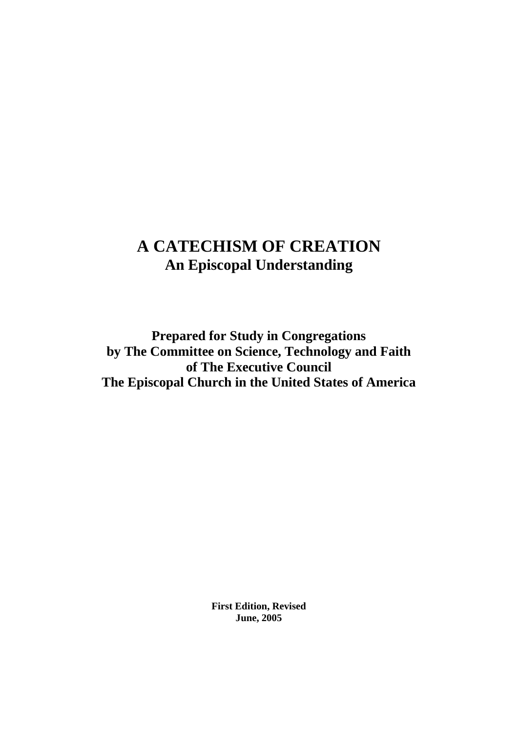# **A CATECHISM OF CREATION An Episcopal Understanding**

**Prepared for Study in Congregations by The Committee on Science, Technology and Faith of The Executive Council The Episcopal Church in the United States of America**

> **First Edition, Revised June, 2005**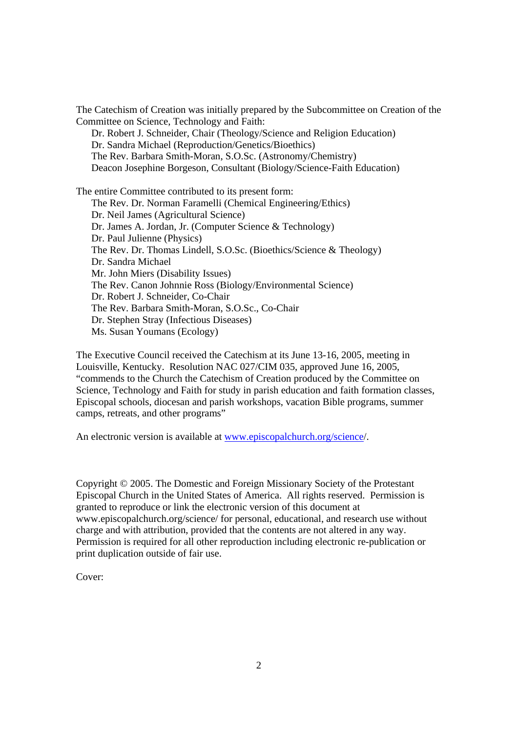The Catechism of Creation was initially prepared by the Subcommittee on Creation of the Committee on Science, Technology and Faith:

 Dr. Robert J. Schneider, Chair (Theology/Science and Religion Education) Dr. Sandra Michael (Reproduction/Genetics/Bioethics) The Rev. Barbara Smith-Moran, S.O.Sc. (Astronomy/Chemistry) Deacon Josephine Borgeson, Consultant (Biology/Science-Faith Education)

The entire Committee contributed to its present form: The Rev. Dr. Norman Faramelli (Chemical Engineering/Ethics) Dr. Neil James (Agricultural Science) Dr. James A. Jordan, Jr. (Computer Science & Technology) Dr. Paul Julienne (Physics) The Rev. Dr. Thomas Lindell, S.O.Sc. (Bioethics/Science & Theology) Dr. Sandra Michael Mr. John Miers (Disability Issues) The Rev. Canon Johnnie Ross (Biology/Environmental Science) Dr. Robert J. Schneider, Co-Chair The Rev. Barbara Smith-Moran, S.O.Sc., Co-Chair Dr. Stephen Stray (Infectious Diseases) Ms. Susan Youmans (Ecology)

The Executive Council received the Catechism at its June 13-16, 2005, meeting in Louisville, Kentucky. Resolution NAC 027/CIM 035, approved June 16, 2005, "commends to the Church the Catechism of Creation produced by the Committee on Science, Technology and Faith for study in parish education and faith formation classes, Episcopal schools, diocesan and parish workshops, vacation Bible programs, summer camps, retreats, and other programs"

An electronic version is available at www.episcopalchurch.org/science/.

Copyright © 2005. The Domestic and Foreign Missionary Society of the Protestant Episcopal Church in the United States of America. All rights reserved. Permission is granted to reproduce or link the electronic version of this document at www.episcopalchurch.org/science/ for personal, educational, and research use without charge and with attribution, provided that the contents are not altered in any way. Permission is required for all other reproduction including electronic re-publication or print duplication outside of fair use.

Cover: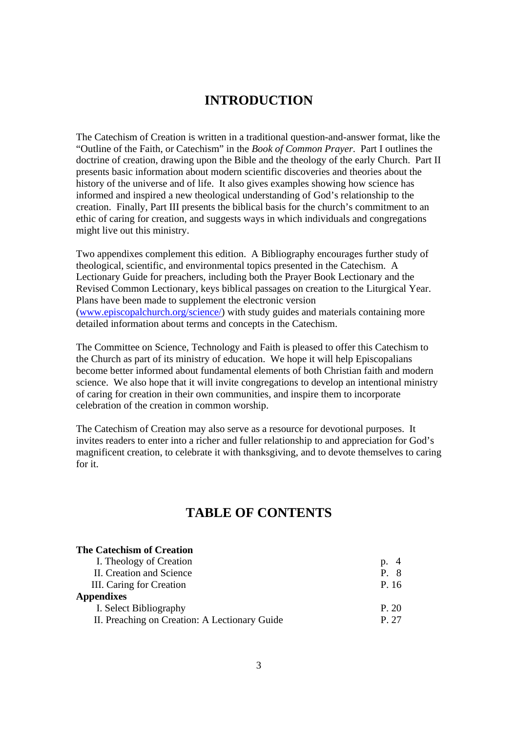## **INTRODUCTION**

The Catechism of Creation is written in a traditional question-and-answer format, like the "Outline of the Faith, or Catechism" in the *Book of Common Prayer*. Part I outlines the doctrine of creation, drawing upon the Bible and the theology of the early Church. Part II presents basic information about modern scientific discoveries and theories about the history of the universe and of life. It also gives examples showing how science has informed and inspired a new theological understanding of God's relationship to the creation. Finally, Part III presents the biblical basis for the church's commitment to an ethic of caring for creation, and suggests ways in which individuals and congregations might live out this ministry.

Two appendixes complement this edition. A Bibliography encourages further study of theological, scientific, and environmental topics presented in the Catechism. A Lectionary Guide for preachers, including both the Prayer Book Lectionary and the Revised Common Lectionary, keys biblical passages on creation to the Liturgical Year. Plans have been made to supplement the electronic version (www.episcopalchurch.org/science/) with study guides and materials containing more detailed information about terms and concepts in the Catechism.

The Committee on Science, Technology and Faith is pleased to offer this Catechism to the Church as part of its ministry of education. We hope it will help Episcopalians become better informed about fundamental elements of both Christian faith and modern science. We also hope that it will invite congregations to develop an intentional ministry of caring for creation in their own communities, and inspire them to incorporate celebration of the creation in common worship.

The Catechism of Creation may also serve as a resource for devotional purposes. It invites readers to enter into a richer and fuller relationship to and appreciation for God's magnificent creation, to celebrate it with thanksgiving, and to devote themselves to caring for it.

## **TABLE OF CONTENTS**

| <b>The Catechism of Creation</b>              |       |
|-----------------------------------------------|-------|
| I. Theology of Creation                       | p. 4  |
| II. Creation and Science                      | P. 8  |
| III. Caring for Creation                      | P. 16 |
| <b>Appendixes</b>                             |       |
| I. Select Bibliography                        | P. 20 |
| II. Preaching on Creation: A Lectionary Guide | P 27  |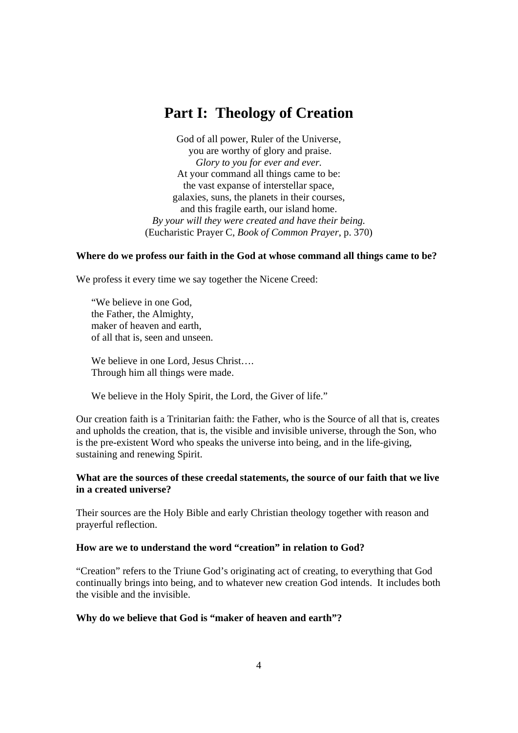# **Part I: Theology of Creation**

God of all power, Ruler of the Universe, you are worthy of glory and praise. *Glory to you for ever and ever.*  At your command all things came to be: the vast expanse of interstellar space, galaxies, suns, the planets in their courses, and this fragile earth, our island home. *By your will they were created and have their being.*  (Eucharistic Prayer C, *Book of Common Prayer*, p. 370)

## **Where do we profess our faith in the God at whose command all things came to be?**

We profess it every time we say together the Nicene Creed:

 "We believe in one God, the Father, the Almighty, maker of heaven and earth, of all that is, seen and unseen.

We believe in one Lord, Jesus Christ.... Through him all things were made.

We believe in the Holy Spirit, the Lord, the Giver of life."

Our creation faith is a Trinitarian faith: the Father, who is the Source of all that is, creates and upholds the creation, that is, the visible and invisible universe, through the Son, who is the pre-existent Word who speaks the universe into being, and in the life-giving, sustaining and renewing Spirit.

## **What are the sources of these creedal statements, the source of our faith that we live in a created universe?**

Their sources are the Holy Bible and early Christian theology together with reason and prayerful reflection.

## **How are we to understand the word "creation" in relation to God?**

"Creation" refers to the Triune God's originating act of creating, to everything that God continually brings into being, and to whatever new creation God intends. It includes both the visible and the invisible.

## **Why do we believe that God is "maker of heaven and earth"?**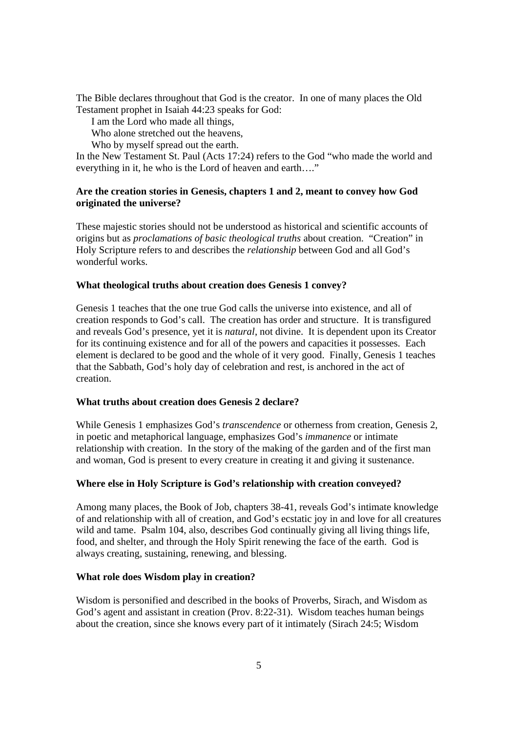The Bible declares throughout that God is the creator. In one of many places the Old Testament prophet in Isaiah 44:23 speaks for God:

I am the Lord who made all things,

Who alone stretched out the heavens,

Who by myself spread out the earth.

In the New Testament St. Paul (Acts 17:24) refers to the God "who made the world and everything in it, he who is the Lord of heaven and earth…."

## **Are the creation stories in Genesis, chapters 1 and 2, meant to convey how God originated the universe?**

These majestic stories should not be understood as historical and scientific accounts of origins but as *proclamations of basic theological truths* about creation. "Creation" in Holy Scripture refers to and describes the *relationship* between God and all God's wonderful works.

## **What theological truths about creation does Genesis 1 convey?**

Genesis 1 teaches that the one true God calls the universe into existence, and all of creation responds to God's call. The creation has order and structure. It is transfigured and reveals God's presence, yet it is *natural*, not divine. It is dependent upon its Creator for its continuing existence and for all of the powers and capacities it possesses. Each element is declared to be good and the whole of it very good. Finally, Genesis 1 teaches that the Sabbath, God's holy day of celebration and rest, is anchored in the act of creation.

## **What truths about creation does Genesis 2 declare?**

While Genesis 1 emphasizes God's *transcendence* or otherness from creation, Genesis 2, in poetic and metaphorical language, emphasizes God's *immanence* or intimate relationship with creation. In the story of the making of the garden and of the first man and woman, God is present to every creature in creating it and giving it sustenance.

## **Where else in Holy Scripture is God's relationship with creation conveyed?**

Among many places, the Book of Job, chapters 38-41, reveals God's intimate knowledge of and relationship with all of creation, and God's ecstatic joy in and love for all creatures wild and tame. Psalm 104, also, describes God continually giving all living things life, food, and shelter, and through the Holy Spirit renewing the face of the earth. God is always creating, sustaining, renewing, and blessing.

## **What role does Wisdom play in creation?**

Wisdom is personified and described in the books of Proverbs, Sirach, and Wisdom as God's agent and assistant in creation (Prov. 8:22-31). Wisdom teaches human beings about the creation, since she knows every part of it intimately (Sirach 24:5; Wisdom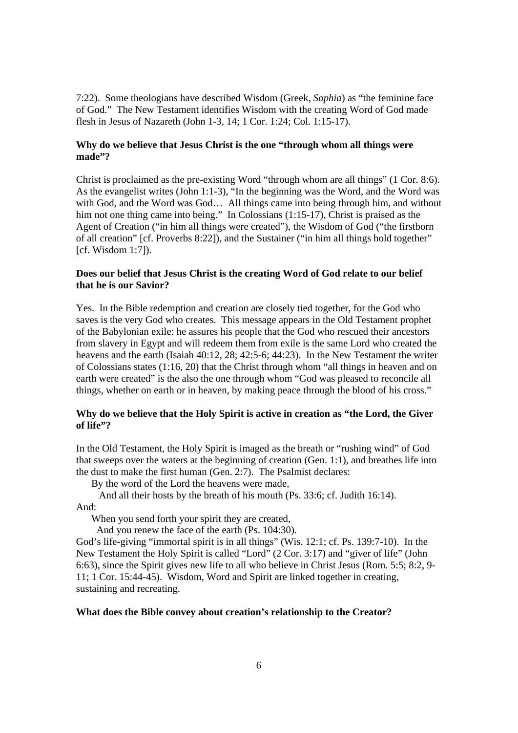7:22). Some theologians have described Wisdom (Greek, *Sophia*) as "the feminine face of God." The New Testament identifies Wisdom with the creating Word of God made flesh in Jesus of Nazareth (John 1-3, 14; 1 Cor. 1:24; Col. 1:15-17).

## **Why do we believe that Jesus Christ is the one "through whom all things were made"?**

Christ is proclaimed as the pre-existing Word "through whom are all things" (1 Cor. 8:6). As the evangelist writes (John 1:1-3), "In the beginning was the Word, and the Word was with God, and the Word was God… All things came into being through him, and without him not one thing came into being." In Colossians (1:15-17), Christ is praised as the Agent of Creation ("in him all things were created"), the Wisdom of God ("the firstborn of all creation" [cf. Proverbs 8:22]), and the Sustainer ("in him all things hold together"  $[cf. Wisdom 1:7]$ .

## **Does our belief that Jesus Christ is the creating Word of God relate to our belief that he is our Savior?**

Yes. In the Bible redemption and creation are closely tied together, for the God who saves is the very God who creates. This message appears in the Old Testament prophet of the Babylonian exile: he assures his people that the God who rescued their ancestors from slavery in Egypt and will redeem them from exile is the same Lord who created the heavens and the earth (Isaiah 40:12, 28; 42:5-6; 44:23). In the New Testament the writer of Colossians states (1:16, 20) that the Christ through whom "all things in heaven and on earth were created" is the also the one through whom "God was pleased to reconcile all things, whether on earth or in heaven, by making peace through the blood of his cross."

## **Why do we believe that the Holy Spirit is active in creation as "the Lord, the Giver of life"?**

In the Old Testament, the Holy Spirit is imaged as the breath or "rushing wind" of God that sweeps over the waters at the beginning of creation (Gen. 1:1), and breathes life into the dust to make the first human (Gen. 2:7). The Psalmist declares:

By the word of the Lord the heavens were made,

 And all their hosts by the breath of his mouth (Ps. 33:6; cf. Judith 16:14). And:

When you send forth your spirit they are created,

And you renew the face of the earth (Ps. 104:30).

God's life-giving "immortal spirit is in all things" (Wis. 12:1; cf. Ps. 139:7-10). In the New Testament the Holy Spirit is called "Lord" (2 Cor. 3:17) and "giver of life" (John 6:63), since the Spirit gives new life to all who believe in Christ Jesus (Rom. 5:5; 8:2, 9- 11; 1 Cor. 15:44-45). Wisdom, Word and Spirit are linked together in creating, sustaining and recreating.

## **What does the Bible convey about creation's relationship to the Creator?**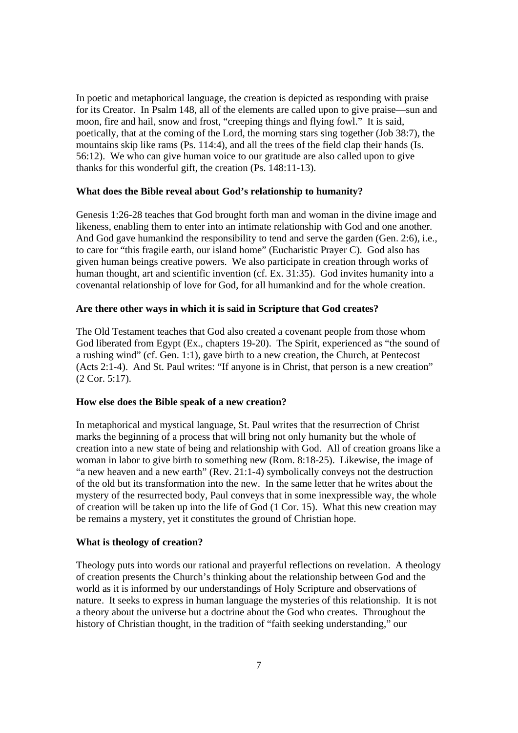In poetic and metaphorical language, the creation is depicted as responding with praise for its Creator. In Psalm 148, all of the elements are called upon to give praise—sun and moon, fire and hail, snow and frost, "creeping things and flying fowl." It is said, poetically, that at the coming of the Lord, the morning stars sing together (Job 38:7), the mountains skip like rams (Ps. 114:4), and all the trees of the field clap their hands (Is. 56:12). We who can give human voice to our gratitude are also called upon to give thanks for this wonderful gift, the creation (Ps. 148:11-13).

#### **What does the Bible reveal about God's relationship to humanity?**

Genesis 1:26-28 teaches that God brought forth man and woman in the divine image and likeness, enabling them to enter into an intimate relationship with God and one another. And God gave humankind the responsibility to tend and serve the garden (Gen. 2:6), i.e., to care for "this fragile earth, our island home" (Eucharistic Prayer C). God also has given human beings creative powers. We also participate in creation through works of human thought, art and scientific invention (cf. Ex. 31:35). God invites humanity into a covenantal relationship of love for God, for all humankind and for the whole creation.

#### **Are there other ways in which it is said in Scripture that God creates?**

The Old Testament teaches that God also created a covenant people from those whom God liberated from Egypt (Ex., chapters 19-20). The Spirit, experienced as "the sound of a rushing wind" (cf. Gen. 1:1), gave birth to a new creation, the Church, at Pentecost (Acts 2:1-4). And St. Paul writes: "If anyone is in Christ, that person is a new creation" (2 Cor. 5:17).

## **How else does the Bible speak of a new creation?**

In metaphorical and mystical language, St. Paul writes that the resurrection of Christ marks the beginning of a process that will bring not only humanity but the whole of creation into a new state of being and relationship with God. All of creation groans like a woman in labor to give birth to something new (Rom. 8:18-25). Likewise, the image of "a new heaven and a new earth" (Rev. 21:1-4) symbolically conveys not the destruction of the old but its transformation into the new. In the same letter that he writes about the mystery of the resurrected body, Paul conveys that in some inexpressible way, the whole of creation will be taken up into the life of God (1 Cor. 15). What this new creation may be remains a mystery, yet it constitutes the ground of Christian hope.

#### **What is theology of creation?**

Theology puts into words our rational and prayerful reflections on revelation. A theology of creation presents the Church's thinking about the relationship between God and the world as it is informed by our understandings of Holy Scripture and observations of nature. It seeks to express in human language the mysteries of this relationship. It is not a theory about the universe but a doctrine about the God who creates. Throughout the history of Christian thought, in the tradition of "faith seeking understanding," our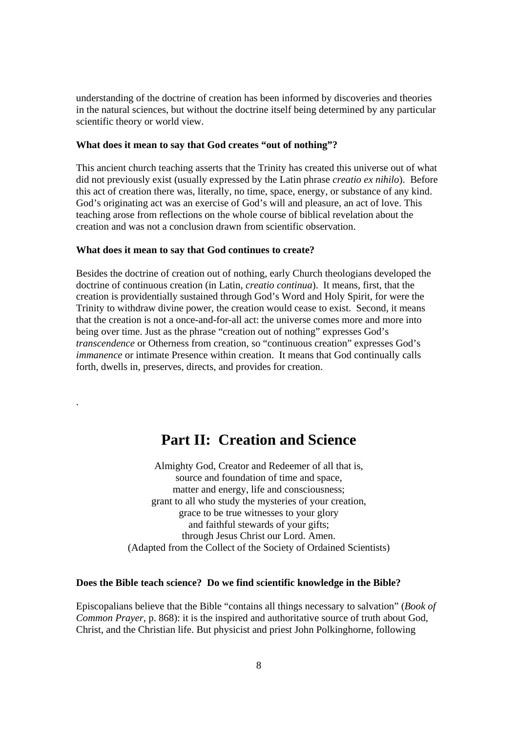understanding of the doctrine of creation has been informed by discoveries and theories in the natural sciences, but without the doctrine itself being determined by any particular scientific theory or world view.

#### **What does it mean to say that God creates "out of nothing"?**

This ancient church teaching asserts that the Trinity has created this universe out of what did not previously exist (usually expressed by the Latin phrase *creatio ex nihilo*). Before this act of creation there was, literally, no time, space, energy, or substance of any kind. God's originating act was an exercise of God's will and pleasure, an act of love. This teaching arose from reflections on the whole course of biblical revelation about the creation and was not a conclusion drawn from scientific observation.

#### **What does it mean to say that God continues to create?**

.

Besides the doctrine of creation out of nothing, early Church theologians developed the doctrine of continuous creation (in Latin, *creatio continua*). It means, first, that the creation is providentially sustained through God's Word and Holy Spirit, for were the Trinity to withdraw divine power, the creation would cease to exist. Second, it means that the creation is not a once-and-for-all act: the universe comes more and more into being over time. Just as the phrase "creation out of nothing" expresses God's *transcendence* or Otherness from creation, so "continuous creation" expresses God's *immanence* or intimate Presence within creation. It means that God continually calls forth, dwells in, preserves, directs, and provides for creation.

## **Part II: Creation and Science**

Almighty God, Creator and Redeemer of all that is, source and foundation of time and space, matter and energy, life and consciousness; grant to all who study the mysteries of your creation, grace to be true witnesses to your glory and faithful stewards of your gifts; through Jesus Christ our Lord. Amen. (Adapted from the Collect of the Society of Ordained Scientists)

#### **Does the Bible teach science? Do we find scientific knowledge in the Bible?**

Episcopalians believe that the Bible "contains all things necessary to salvation" (*Book of Common Prayer*, p. 868): it is the inspired and authoritative source of truth about God, Christ, and the Christian life. But physicist and priest John Polkinghorne, following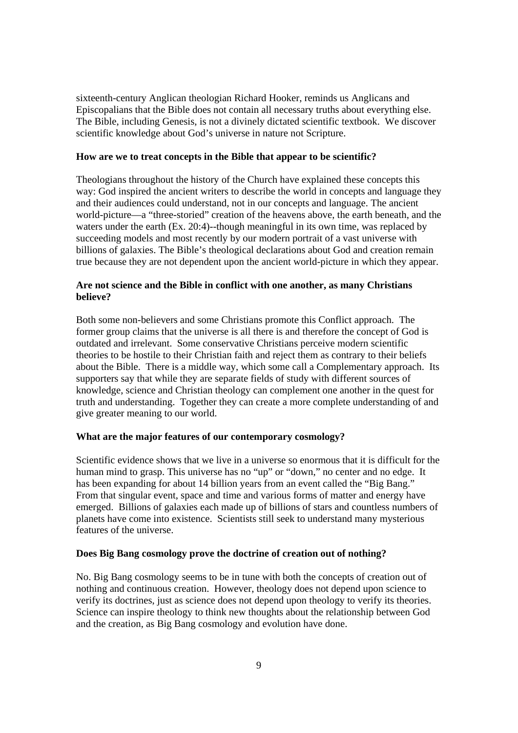sixteenth-century Anglican theologian Richard Hooker, reminds us Anglicans and Episcopalians that the Bible does not contain all necessary truths about everything else. The Bible, including Genesis, is not a divinely dictated scientific textbook. We discover scientific knowledge about God's universe in nature not Scripture.

#### **How are we to treat concepts in the Bible that appear to be scientific?**

Theologians throughout the history of the Church have explained these concepts this way: God inspired the ancient writers to describe the world in concepts and language they and their audiences could understand, not in our concepts and language. The ancient world-picture—a "three-storied" creation of the heavens above, the earth beneath, and the waters under the earth (Ex. 20:4)--though meaningful in its own time, was replaced by succeeding models and most recently by our modern portrait of a vast universe with billions of galaxies. The Bible's theological declarations about God and creation remain true because they are not dependent upon the ancient world-picture in which they appear.

## **Are not science and the Bible in conflict with one another, as many Christians believe?**

Both some non-believers and some Christians promote this Conflict approach. The former group claims that the universe is all there is and therefore the concept of God is outdated and irrelevant. Some conservative Christians perceive modern scientific theories to be hostile to their Christian faith and reject them as contrary to their beliefs about the Bible. There is a middle way, which some call a Complementary approach. Its supporters say that while they are separate fields of study with different sources of knowledge, science and Christian theology can complement one another in the quest for truth and understanding. Together they can create a more complete understanding of and give greater meaning to our world.

## **What are the major features of our contemporary cosmology?**

Scientific evidence shows that we live in a universe so enormous that it is difficult for the human mind to grasp. This universe has no "up" or "down," no center and no edge. It has been expanding for about 14 billion years from an event called the "Big Bang." From that singular event, space and time and various forms of matter and energy have emerged. Billions of galaxies each made up of billions of stars and countless numbers of planets have come into existence. Scientists still seek to understand many mysterious features of the universe.

#### **Does Big Bang cosmology prove the doctrine of creation out of nothing?**

No. Big Bang cosmology seems to be in tune with both the concepts of creation out of nothing and continuous creation. However, theology does not depend upon science to verify its doctrines, just as science does not depend upon theology to verify its theories. Science can inspire theology to think new thoughts about the relationship between God and the creation, as Big Bang cosmology and evolution have done.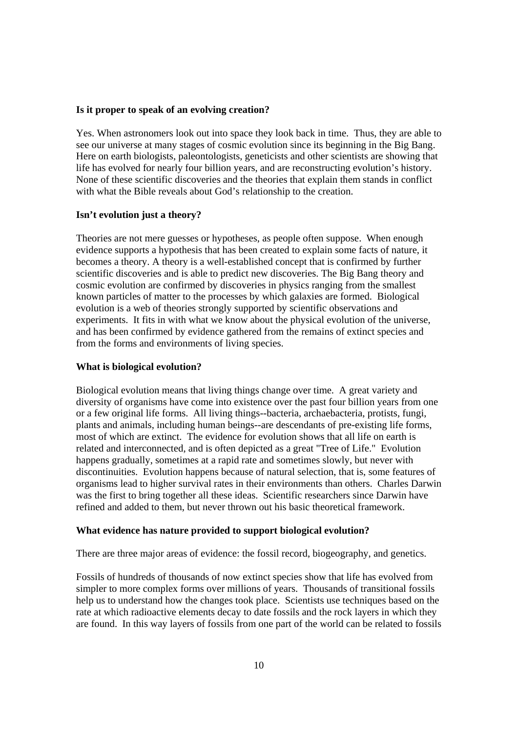#### **Is it proper to speak of an evolving creation?**

Yes. When astronomers look out into space they look back in time. Thus, they are able to see our universe at many stages of cosmic evolution since its beginning in the Big Bang. Here on earth biologists, paleontologists, geneticists and other scientists are showing that life has evolved for nearly four billion years, and are reconstructing evolution's history. None of these scientific discoveries and the theories that explain them stands in conflict with what the Bible reveals about God's relationship to the creation.

#### **Isn't evolution just a theory?**

Theories are not mere guesses or hypotheses, as people often suppose. When enough evidence supports a hypothesis that has been created to explain some facts of nature, it becomes a theory. A theory is a well-established concept that is confirmed by further scientific discoveries and is able to predict new discoveries. The Big Bang theory and cosmic evolution are confirmed by discoveries in physics ranging from the smallest known particles of matter to the processes by which galaxies are formed. Biological evolution is a web of theories strongly supported by scientific observations and experiments. It fits in with what we know about the physical evolution of the universe, and has been confirmed by evidence gathered from the remains of extinct species and from the forms and environments of living species.

#### **What is biological evolution?**

Biological evolution means that living things change over time. A great variety and diversity of organisms have come into existence over the past four billion years from one or a few original life forms. All living things--bacteria, archaebacteria, protists, fungi, plants and animals, including human beings--are descendants of pre-existing life forms, most of which are extinct. The evidence for evolution shows that all life on earth is related and interconnected, and is often depicted as a great "Tree of Life." Evolution happens gradually, sometimes at a rapid rate and sometimes slowly, but never with discontinuities. Evolution happens because of natural selection, that is, some features of organisms lead to higher survival rates in their environments than others. Charles Darwin was the first to bring together all these ideas. Scientific researchers since Darwin have refined and added to them, but never thrown out his basic theoretical framework.

#### **What evidence has nature provided to support biological evolution?**

There are three major areas of evidence: the fossil record, biogeography, and genetics.

Fossils of hundreds of thousands of now extinct species show that life has evolved from simpler to more complex forms over millions of years. Thousands of transitional fossils help us to understand how the changes took place. Scientists use techniques based on the rate at which radioactive elements decay to date fossils and the rock layers in which they are found. In this way layers of fossils from one part of the world can be related to fossils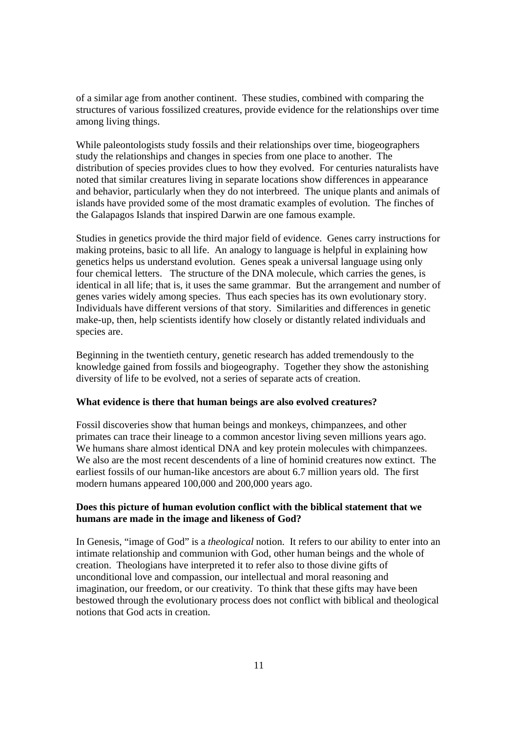of a similar age from another continent. These studies, combined with comparing the structures of various fossilized creatures, provide evidence for the relationships over time among living things.

While paleontologists study fossils and their relationships over time, biogeographers study the relationships and changes in species from one place to another. The distribution of species provides clues to how they evolved. For centuries naturalists have noted that similar creatures living in separate locations show differences in appearance and behavior, particularly when they do not interbreed. The unique plants and animals of islands have provided some of the most dramatic examples of evolution. The finches of the Galapagos Islands that inspired Darwin are one famous example.

Studies in genetics provide the third major field of evidence. Genes carry instructions for making proteins, basic to all life. An analogy to language is helpful in explaining how genetics helps us understand evolution. Genes speak a universal language using only four chemical letters. The structure of the DNA molecule, which carries the genes, is identical in all life; that is, it uses the same grammar. But the arrangement and number of genes varies widely among species. Thus each species has its own evolutionary story. Individuals have different versions of that story. Similarities and differences in genetic make-up, then, help scientists identify how closely or distantly related individuals and species are.

Beginning in the twentieth century, genetic research has added tremendously to the knowledge gained from fossils and biogeography. Together they show the astonishing diversity of life to be evolved, not a series of separate acts of creation.

## **What evidence is there that human beings are also evolved creatures?**

Fossil discoveries show that human beings and monkeys, chimpanzees, and other primates can trace their lineage to a common ancestor living seven millions years ago. We humans share almost identical DNA and key protein molecules with chimpanzees. We also are the most recent descendents of a line of hominid creatures now extinct. The earliest fossils of our human-like ancestors are about 6.7 million years old. The first modern humans appeared 100,000 and 200,000 years ago.

## **Does this picture of human evolution conflict with the biblical statement that we humans are made in the image and likeness of God?**

In Genesis, "image of God" is a *theological* notion. It refers to our ability to enter into an intimate relationship and communion with God, other human beings and the whole of creation. Theologians have interpreted it to refer also to those divine gifts of unconditional love and compassion, our intellectual and moral reasoning and imagination, our freedom, or our creativity. To think that these gifts may have been bestowed through the evolutionary process does not conflict with biblical and theological notions that God acts in creation.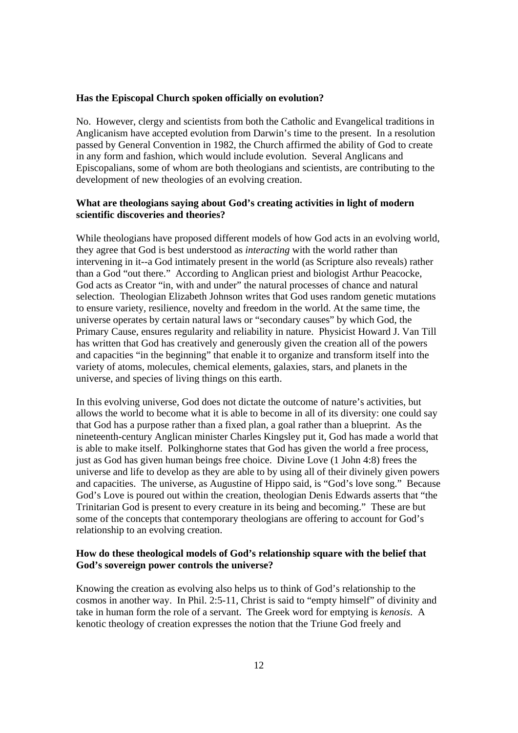#### **Has the Episcopal Church spoken officially on evolution?**

No. However, clergy and scientists from both the Catholic and Evangelical traditions in Anglicanism have accepted evolution from Darwin's time to the present. In a resolution passed by General Convention in 1982, the Church affirmed the ability of God to create in any form and fashion, which would include evolution. Several Anglicans and Episcopalians, some of whom are both theologians and scientists, are contributing to the development of new theologies of an evolving creation.

## **What are theologians saying about God's creating activities in light of modern scientific discoveries and theories?**

While theologians have proposed different models of how God acts in an evolving world, they agree that God is best understood as *interacting* with the world rather than intervening in it--a God intimately present in the world (as Scripture also reveals) rather than a God "out there." According to Anglican priest and biologist Arthur Peacocke, God acts as Creator "in, with and under" the natural processes of chance and natural selection. Theologian Elizabeth Johnson writes that God uses random genetic mutations to ensure variety, resilience, novelty and freedom in the world. At the same time, the universe operates by certain natural laws or "secondary causes" by which God, the Primary Cause, ensures regularity and reliability in nature. Physicist Howard J. Van Till has written that God has creatively and generously given the creation all of the powers and capacities "in the beginning" that enable it to organize and transform itself into the variety of atoms, molecules, chemical elements, galaxies, stars, and planets in the universe, and species of living things on this earth.

In this evolving universe, God does not dictate the outcome of nature's activities, but allows the world to become what it is able to become in all of its diversity: one could say that God has a purpose rather than a fixed plan, a goal rather than a blueprint. As the nineteenth-century Anglican minister Charles Kingsley put it, God has made a world that is able to make itself. Polkinghorne states that God has given the world a free process, just as God has given human beings free choice. Divine Love (1 John 4:8) frees the universe and life to develop as they are able to by using all of their divinely given powers and capacities. The universe, as Augustine of Hippo said, is "God's love song." Because God's Love is poured out within the creation, theologian Denis Edwards asserts that "the Trinitarian God is present to every creature in its being and becoming." These are but some of the concepts that contemporary theologians are offering to account for God's relationship to an evolving creation.

## **How do these theological models of God's relationship square with the belief that God's sovereign power controls the universe?**

Knowing the creation as evolving also helps us to think of God's relationship to the cosmos in another way. In Phil. 2:5-11, Christ is said to "empty himself" of divinity and take in human form the role of a servant. The Greek word for emptying is *kenosis*. A kenotic theology of creation expresses the notion that the Triune God freely and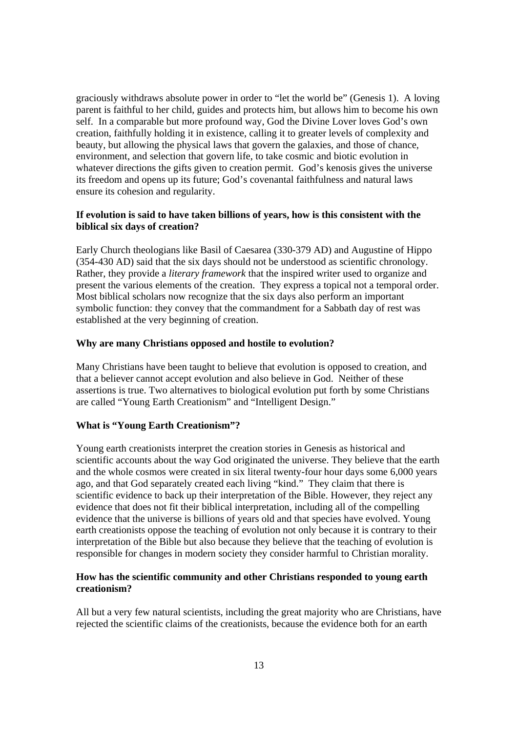graciously withdraws absolute power in order to "let the world be" (Genesis 1). A loving parent is faithful to her child, guides and protects him, but allows him to become his own self. In a comparable but more profound way, God the Divine Lover loves God's own creation, faithfully holding it in existence, calling it to greater levels of complexity and beauty, but allowing the physical laws that govern the galaxies, and those of chance, environment, and selection that govern life, to take cosmic and biotic evolution in whatever directions the gifts given to creation permit. God's kenosis gives the universe its freedom and opens up its future; God's covenantal faithfulness and natural laws ensure its cohesion and regularity.

## **If evolution is said to have taken billions of years, how is this consistent with the biblical six days of creation?**

Early Church theologians like Basil of Caesarea (330-379 AD) and Augustine of Hippo (354-430 AD) said that the six days should not be understood as scientific chronology. Rather, they provide a *literary framework* that the inspired writer used to organize and present the various elements of the creation. They express a topical not a temporal order. Most biblical scholars now recognize that the six days also perform an important symbolic function: they convey that the commandment for a Sabbath day of rest was established at the very beginning of creation.

#### **Why are many Christians opposed and hostile to evolution?**

Many Christians have been taught to believe that evolution is opposed to creation, and that a believer cannot accept evolution and also believe in God. Neither of these assertions is true. Two alternatives to biological evolution put forth by some Christians are called "Young Earth Creationism" and "Intelligent Design."

#### **What is "Young Earth Creationism"?**

Young earth creationists interpret the creation stories in Genesis as historical and scientific accounts about the way God originated the universe. They believe that the earth and the whole cosmos were created in six literal twenty-four hour days some 6,000 years ago, and that God separately created each living "kind." They claim that there is scientific evidence to back up their interpretation of the Bible. However, they reject any evidence that does not fit their biblical interpretation, including all of the compelling evidence that the universe is billions of years old and that species have evolved. Young earth creationists oppose the teaching of evolution not only because it is contrary to their interpretation of the Bible but also because they believe that the teaching of evolution is responsible for changes in modern society they consider harmful to Christian morality.

## **How has the scientific community and other Christians responded to young earth creationism?**

All but a very few natural scientists, including the great majority who are Christians, have rejected the scientific claims of the creationists, because the evidence both for an earth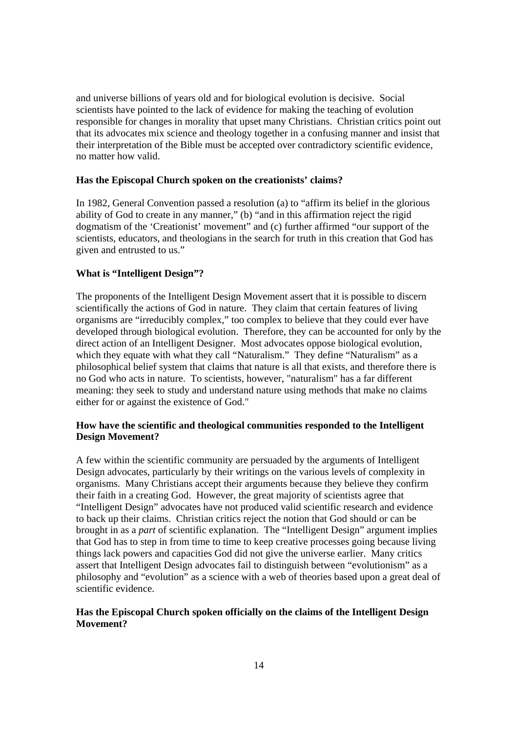and universe billions of years old and for biological evolution is decisive. Social scientists have pointed to the lack of evidence for making the teaching of evolution responsible for changes in morality that upset many Christians. Christian critics point out that its advocates mix science and theology together in a confusing manner and insist that their interpretation of the Bible must be accepted over contradictory scientific evidence, no matter how valid.

#### **Has the Episcopal Church spoken on the creationists' claims?**

In 1982, General Convention passed a resolution (a) to "affirm its belief in the glorious ability of God to create in any manner," (b) "and in this affirmation reject the rigid dogmatism of the 'Creationist' movement" and (c) further affirmed "our support of the scientists, educators, and theologians in the search for truth in this creation that God has given and entrusted to us."

#### **What is "Intelligent Design"?**

The proponents of the Intelligent Design Movement assert that it is possible to discern scientifically the actions of God in nature. They claim that certain features of living organisms are "irreducibly complex," too complex to believe that they could ever have developed through biological evolution. Therefore, they can be accounted for only by the direct action of an Intelligent Designer. Most advocates oppose biological evolution, which they equate with what they call "Naturalism." They define "Naturalism" as a philosophical belief system that claims that nature is all that exists, and therefore there is no God who acts in nature. To scientists, however, "naturalism" has a far different meaning: they seek to study and understand nature using methods that make no claims either for or against the existence of God."

## **How have the scientific and theological communities responded to the Intelligent Design Movement?**

A few within the scientific community are persuaded by the arguments of Intelligent Design advocates, particularly by their writings on the various levels of complexity in organisms. Many Christians accept their arguments because they believe they confirm their faith in a creating God. However, the great majority of scientists agree that "Intelligent Design" advocates have not produced valid scientific research and evidence to back up their claims. Christian critics reject the notion that God should or can be brought in as a *part* of scientific explanation. The "Intelligent Design" argument implies that God has to step in from time to time to keep creative processes going because living things lack powers and capacities God did not give the universe earlier. Many critics assert that Intelligent Design advocates fail to distinguish between "evolutionism" as a philosophy and "evolution" as a science with a web of theories based upon a great deal of scientific evidence.

## **Has the Episcopal Church spoken officially on the claims of the Intelligent Design Movement?**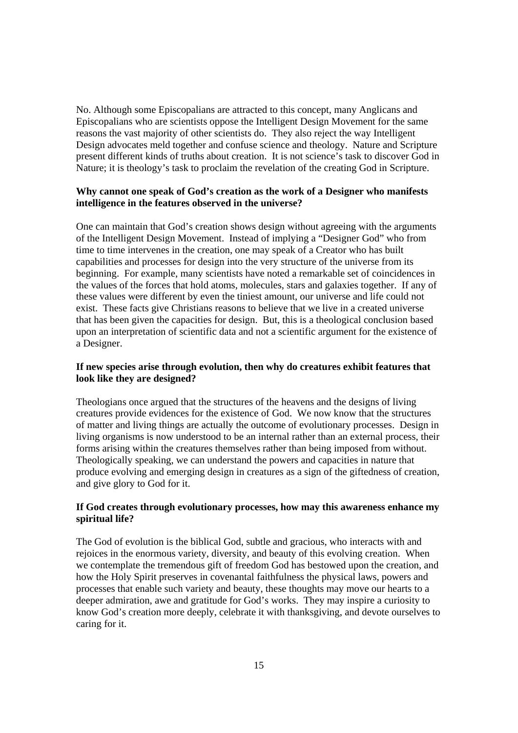No. Although some Episcopalians are attracted to this concept, many Anglicans and Episcopalians who are scientists oppose the Intelligent Design Movement for the same reasons the vast majority of other scientists do. They also reject the way Intelligent Design advocates meld together and confuse science and theology. Nature and Scripture present different kinds of truths about creation. It is not science's task to discover God in Nature; it is theology's task to proclaim the revelation of the creating God in Scripture.

## **Why cannot one speak of God's creation as the work of a Designer who manifests intelligence in the features observed in the universe?**

One can maintain that God's creation shows design without agreeing with the arguments of the Intelligent Design Movement. Instead of implying a "Designer God" who from time to time intervenes in the creation, one may speak of a Creator who has built capabilities and processes for design into the very structure of the universe from its beginning. For example, many scientists have noted a remarkable set of coincidences in the values of the forces that hold atoms, molecules, stars and galaxies together. If any of these values were different by even the tiniest amount, our universe and life could not exist. These facts give Christians reasons to believe that we live in a created universe that has been given the capacities for design. But, this is a theological conclusion based upon an interpretation of scientific data and not a scientific argument for the existence of a Designer.

## **If new species arise through evolution, then why do creatures exhibit features that look like they are designed?**

Theologians once argued that the structures of the heavens and the designs of living creatures provide evidences for the existence of God. We now know that the structures of matter and living things are actually the outcome of evolutionary processes. Design in living organisms is now understood to be an internal rather than an external process, their forms arising within the creatures themselves rather than being imposed from without. Theologically speaking, we can understand the powers and capacities in nature that produce evolving and emerging design in creatures as a sign of the giftedness of creation, and give glory to God for it.

## **If God creates through evolutionary processes, how may this awareness enhance my spiritual life?**

The God of evolution is the biblical God, subtle and gracious, who interacts with and rejoices in the enormous variety, diversity, and beauty of this evolving creation. When we contemplate the tremendous gift of freedom God has bestowed upon the creation, and how the Holy Spirit preserves in covenantal faithfulness the physical laws, powers and processes that enable such variety and beauty, these thoughts may move our hearts to a deeper admiration, awe and gratitude for God's works. They may inspire a curiosity to know God's creation more deeply, celebrate it with thanksgiving, and devote ourselves to caring for it.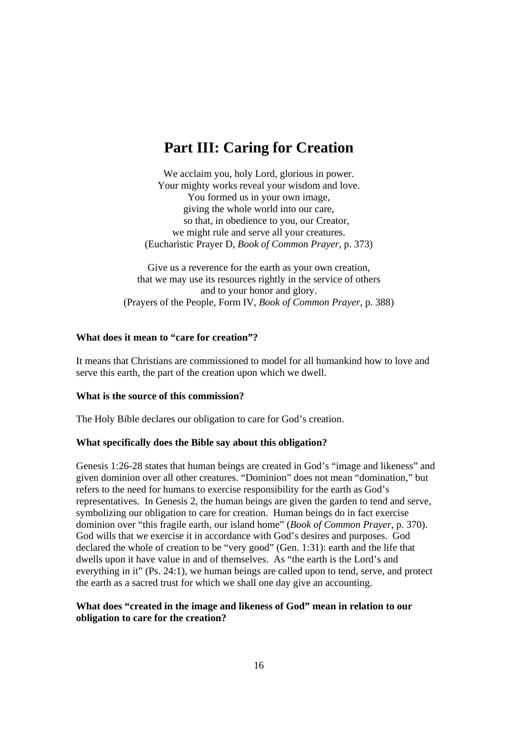# **Part III: Caring for Creation**

We acclaim you, holy Lord, glorious in power. Your mighty works reveal your wisdom and love. You formed us in your own image, giving the whole world into our care, so that, in obedience to you, our Creator, we might rule and serve all your creatures. (Eucharistic Prayer D, *Book of Common Prayer*, p. 373)

Give us a reverence for the earth as your own creation, that we may use its resources rightly in the service of others and to your honor and glory. (Prayers of the People, Form IV, *Book of Common Prayer*, p. 388)

## **What does it mean to "care for creation"?**

It means that Christians are commissioned to model for all humankind how to love and serve this earth, the part of the creation upon which we dwell.

## **What is the source of this commission?**

The Holy Bible declares our obligation to care for God's creation.

## **What specifically does the Bible say about this obligation?**

Genesis 1:26-28 states that human beings are created in God's "image and likeness" and given dominion over all other creatures. "Dominion" does not mean "domination," but refers to the need for humans to exercise responsibility for the earth as God's representatives. In Genesis 2, the human beings are given the garden to tend and serve, symbolizing our obligation to care for creation. Human beings do in fact exercise dominion over "this fragile earth, our island home" (*Book of Common Prayer*, p. 370). God wills that we exercise it in accordance with God's desires and purposes. God declared the whole of creation to be "very good" (Gen. 1:31): earth and the life that dwells upon it have value in and of themselves. As "the earth is the Lord's and everything in it" (Ps. 24:1), we human beings are called upon to tend, serve, and protect the earth as a sacred trust for which we shall one day give an accounting.

## **What does "created in the image and likeness of God" mean in relation to our obligation to care for the creation?**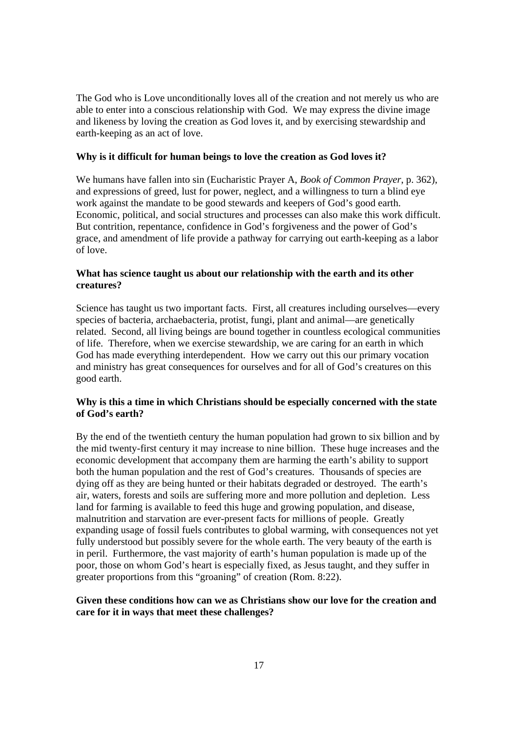The God who is Love unconditionally loves all of the creation and not merely us who are able to enter into a conscious relationship with God. We may express the divine image and likeness by loving the creation as God loves it, and by exercising stewardship and earth-keeping as an act of love.

## **Why is it difficult for human beings to love the creation as God loves it?**

We humans have fallen into sin (Eucharistic Prayer A, *Book of Common Prayer*, p. 362), and expressions of greed, lust for power, neglect, and a willingness to turn a blind eye work against the mandate to be good stewards and keepers of God's good earth. Economic, political, and social structures and processes can also make this work difficult. But contrition, repentance, confidence in God's forgiveness and the power of God's grace, and amendment of life provide a pathway for carrying out earth-keeping as a labor of love.

## **What has science taught us about our relationship with the earth and its other creatures?**

Science has taught us two important facts. First, all creatures including ourselves—every species of bacteria, archaebacteria, protist, fungi, plant and animal—are genetically related. Second, all living beings are bound together in countless ecological communities of life. Therefore, when we exercise stewardship, we are caring for an earth in which God has made everything interdependent. How we carry out this our primary vocation and ministry has great consequences for ourselves and for all of God's creatures on this good earth.

## **Why is this a time in which Christians should be especially concerned with the state of God's earth?**

By the end of the twentieth century the human population had grown to six billion and by the mid twenty-first century it may increase to nine billion. These huge increases and the economic development that accompany them are harming the earth's ability to support both the human population and the rest of God's creatures. Thousands of species are dying off as they are being hunted or their habitats degraded or destroyed. The earth's air, waters, forests and soils are suffering more and more pollution and depletion. Less land for farming is available to feed this huge and growing population, and disease, malnutrition and starvation are ever-present facts for millions of people. Greatly expanding usage of fossil fuels contributes to global warming, with consequences not yet fully understood but possibly severe for the whole earth. The very beauty of the earth is in peril. Furthermore, the vast majority of earth's human population is made up of the poor, those on whom God's heart is especially fixed, as Jesus taught, and they suffer in greater proportions from this "groaning" of creation (Rom. 8:22).

## **Given these conditions how can we as Christians show our love for the creation and care for it in ways that meet these challenges?**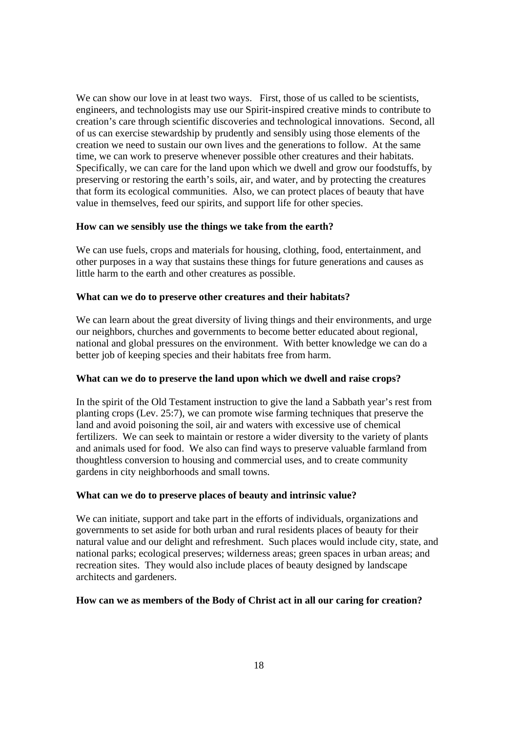We can show our love in at least two ways. First, those of us called to be scientists, engineers, and technologists may use our Spirit-inspired creative minds to contribute to creation's care through scientific discoveries and technological innovations. Second, all of us can exercise stewardship by prudently and sensibly using those elements of the creation we need to sustain our own lives and the generations to follow. At the same time, we can work to preserve whenever possible other creatures and their habitats. Specifically, we can care for the land upon which we dwell and grow our foodstuffs, by preserving or restoring the earth's soils, air, and water, and by protecting the creatures that form its ecological communities. Also, we can protect places of beauty that have value in themselves, feed our spirits, and support life for other species.

## **How can we sensibly use the things we take from the earth?**

We can use fuels, crops and materials for housing, clothing, food, entertainment, and other purposes in a way that sustains these things for future generations and causes as little harm to the earth and other creatures as possible.

## **What can we do to preserve other creatures and their habitats?**

We can learn about the great diversity of living things and their environments, and urge our neighbors, churches and governments to become better educated about regional, national and global pressures on the environment. With better knowledge we can do a better job of keeping species and their habitats free from harm.

## **What can we do to preserve the land upon which we dwell and raise crops?**

In the spirit of the Old Testament instruction to give the land a Sabbath year's rest from planting crops (Lev. 25:7), we can promote wise farming techniques that preserve the land and avoid poisoning the soil, air and waters with excessive use of chemical fertilizers. We can seek to maintain or restore a wider diversity to the variety of plants and animals used for food. We also can find ways to preserve valuable farmland from thoughtless conversion to housing and commercial uses, and to create community gardens in city neighborhoods and small towns.

## **What can we do to preserve places of beauty and intrinsic value?**

We can initiate, support and take part in the efforts of individuals, organizations and governments to set aside for both urban and rural residents places of beauty for their natural value and our delight and refreshment. Such places would include city, state, and national parks; ecological preserves; wilderness areas; green spaces in urban areas; and recreation sites. They would also include places of beauty designed by landscape architects and gardeners.

## **How can we as members of the Body of Christ act in all our caring for creation?**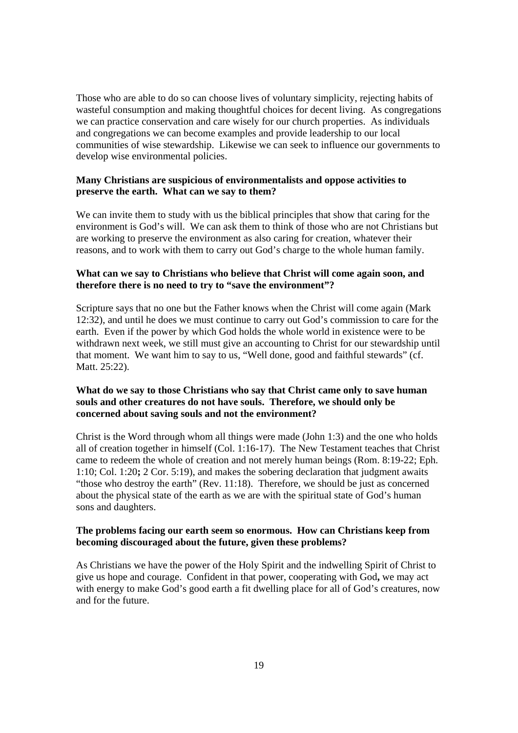Those who are able to do so can choose lives of voluntary simplicity, rejecting habits of wasteful consumption and making thoughtful choices for decent living. As congregations we can practice conservation and care wisely for our church properties. As individuals and congregations we can become examples and provide leadership to our local communities of wise stewardship. Likewise we can seek to influence our governments to develop wise environmental policies.

## **Many Christians are suspicious of environmentalists and oppose activities to preserve the earth. What can we say to them?**

We can invite them to study with us the biblical principles that show that caring for the environment is God's will. We can ask them to think of those who are not Christians but are working to preserve the environment as also caring for creation, whatever their reasons, and to work with them to carry out God's charge to the whole human family.

## **What can we say to Christians who believe that Christ will come again soon, and therefore there is no need to try to "save the environment"?**

Scripture says that no one but the Father knows when the Christ will come again (Mark 12:32), and until he does we must continue to carry out God's commission to care for the earth. Even if the power by which God holds the whole world in existence were to be withdrawn next week, we still must give an accounting to Christ for our stewardship until that moment. We want him to say to us, "Well done, good and faithful stewards" (cf. Matt. 25:22).

## **What do we say to those Christians who say that Christ came only to save human souls and other creatures do not have souls. Therefore, we should only be concerned about saving souls and not the environment?**

Christ is the Word through whom all things were made (John 1:3) and the one who holds all of creation together in himself (Col. 1:16-17). The New Testament teaches that Christ came to redeem the whole of creation and not merely human beings (Rom. 8:19-22; Eph. 1:10; Col. 1:20**;** 2 Cor. 5:19), and makes the sobering declaration that judgment awaits "those who destroy the earth" (Rev. 11:18). Therefore, we should be just as concerned about the physical state of the earth as we are with the spiritual state of God's human sons and daughters.

## **The problems facing our earth seem so enormous. How can Christians keep from becoming discouraged about the future, given these problems?**

As Christians we have the power of the Holy Spirit and the indwelling Spirit of Christ to give us hope and courage. Confident in that power, cooperating with God**,** we may act with energy to make God's good earth a fit dwelling place for all of God's creatures, now and for the future.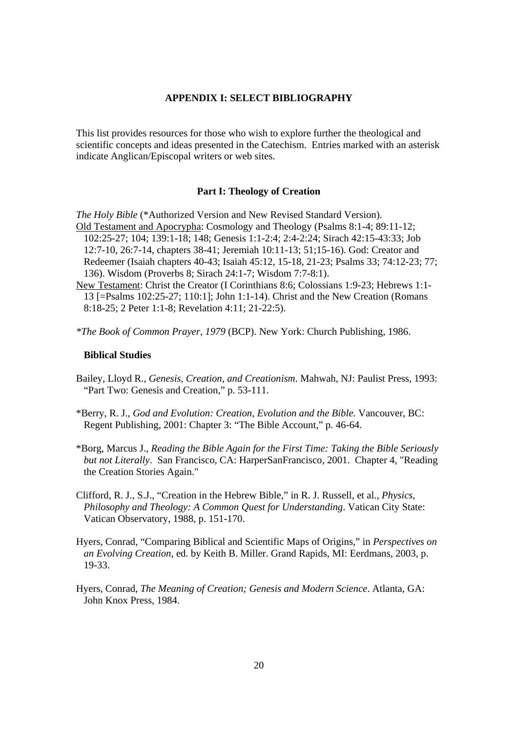#### **APPENDIX I: SELECT BIBLIOGRAPHY**

This list provides resources for those who wish to explore further the theological and scientific concepts and ideas presented in the Catechism. Entries marked with an asterisk indicate Anglican/Episcopal writers or web sites.

#### **Part I: Theology of Creation**

*The Holy Bible* (\*Authorized Version and New Revised Standard Version). Old Testament and Apocrypha: Cosmology and Theology (Psalms 8:1-4; 89:11-12; 102:25-27; 104; 139:1-18; 148; Genesis 1:1-2:4; 2:4-2:24; Sirach 42:15-43:33; Job 12:7-10, 26:7-14, chapters 38-41; Jeremiah 10:11-13; 51;15-16). God: Creator and Redeemer (Isaiah chapters 40-43; Isaiah 45:12, 15-18, 21-23; Psalms 33; 74:12-23; 77; 136). Wisdom (Proverbs 8; Sirach 24:1-7; Wisdom 7:7-8:1).

- New Testament: Christ the Creator (I Corinthians 8:6; Colossians 1:9-23; Hebrews 1:1- 13 [=Psalms 102:25-27; 110:1]; John 1:1-14). Christ and the New Creation (Romans 8:18-25; 2 Peter 1:1-8; Revelation 4:11; 21-22:5).
- *\*The Book of Common Prayer, 1979* (BCP). New York: Church Publishing, 1986.

#### **Biblical Studies**

- Bailey, Lloyd R., *Genesis, Creation, and Creationism*. Mahwah, NJ: Paulist Press, 1993: "Part Two: Genesis and Creation," p. 53-111.
- \*Berry, R. J., *God and Evolution: Creation, Evolution and the Bible*. Vancouver, BC: Regent Publishing, 2001: Chapter 3: "The Bible Account," p. 46-64.
- \*Borg, Marcus J., *Reading the Bible Again for the First Time: Taking the Bible Seriously but not Literally*. San Francisco, CA: HarperSanFrancisco, 2001. Chapter 4, "Reading the Creation Stories Again."
- Clifford, R. J., S.J., "Creation in the Hebrew Bible," in R. J. Russell, et al., *Physics, Philosophy and Theology: A Common Quest for Understanding*. Vatican City State: Vatican Observatory, 1988, p. 151-170.
- Hyers, Conrad, "Comparing Biblical and Scientific Maps of Origins," in *Perspectives on an Evolving Creation*, ed. by Keith B. Miller. Grand Rapids, MI: Eerdmans, 2003, p. 19-33.
- Hyers, Conrad, *The Meaning of Creation; Genesis and Modern Science*. Atlanta, GA: John Knox Press, 1984.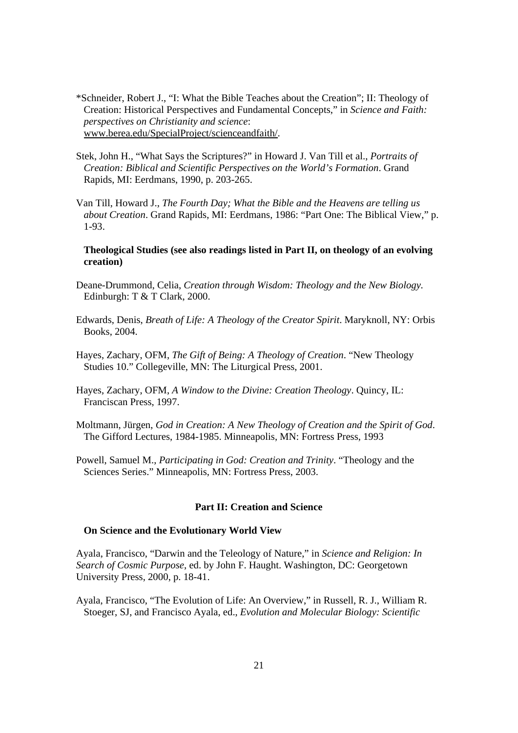\*Schneider, Robert J., "I: What the Bible Teaches about the Creation"; II: Theology of Creation: Historical Perspectives and Fundamental Concepts," in *Science and Faith: perspectives on Christianity and science*: www.berea.edu/SpecialProject/scienceandfaith/.

- Stek, John H., "What Says the Scriptures?" in Howard J. Van Till et al., *Portraits of Creation: Biblical and Scientific Perspectives on the World's Formation*. Grand Rapids, MI: Eerdmans, 1990, p. 203-265.
- Van Till, Howard J., *The Fourth Day; What the Bible and the Heavens are telling us about Creation*. Grand Rapids, MI: Eerdmans, 1986: "Part One: The Biblical View," p. 1-93.

#### **Theological Studies (see also readings listed in Part II, on theology of an evolving creation)**

- Deane-Drummond, Celia, *Creation through Wisdom: Theology and the New Biology.* Edinburgh: T & T Clark, 2000.
- Edwards, Denis, *Breath of Life: A Theology of the Creator Spirit*. Maryknoll, NY: Orbis Books, 2004.
- Hayes, Zachary, OFM, *The Gift of Being: A Theology of Creation*. "New Theology Studies 10." Collegeville, MN: The Liturgical Press, 2001.
- Hayes, Zachary, OFM, *A Window to the Divine: Creation Theology*. Quincy, IL: Franciscan Press, 1997.
- Moltmann, Jürgen, *God in Creation: A New Theology of Creation and the Spirit of God*. The Gifford Lectures, 1984-1985. Minneapolis, MN: Fortress Press, 1993
- Powell, Samuel M., *Participating in God: Creation and Trinity*. "Theology and the Sciences Series." Minneapolis, MN: Fortress Press, 2003.

## **Part II: Creation and Science**

#### **On Science and the Evolutionary World View**

Ayala, Francisco, "Darwin and the Teleology of Nature," in *Science and Religion: In Search of Cosmic Purpose*, ed. by John F. Haught. Washington, DC: Georgetown University Press, 2000, p. 18-41.

Ayala, Francisco, "The Evolution of Life: An Overview," in Russell, R. J., William R. Stoeger, SJ, and Francisco Ayala, ed., *Evolution and Molecular Biology: Scientific*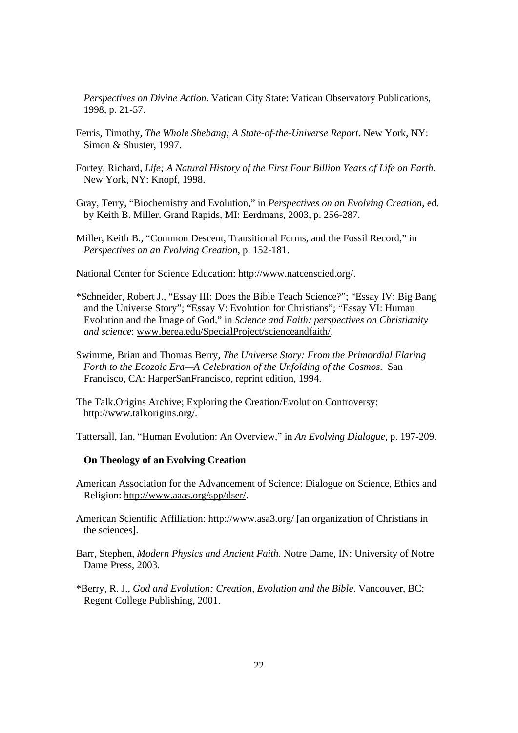*Perspectives on Divine Action*. Vatican City State: Vatican Observatory Publications, 1998, p. 21-57.

- Ferris, Timothy, *The Whole Shebang; A State-of-the-Universe Report*. New York, NY: Simon & Shuster, 1997.
- Fortey, Richard, *Life; A Natural History of the First Four Billion Years of Life on Earth*. New York, NY: Knopf, 1998.

Gray, Terry, "Biochemistry and Evolution," in *Perspectives on an Evolving Creation*, ed. by Keith B. Miller. Grand Rapids, MI: Eerdmans, 2003, p. 256-287.

Miller, Keith B., "Common Descent, Transitional Forms, and the Fossil Record," in *Perspectives on an Evolving Creation*, p. 152-181.

National Center for Science Education: http://www.natcenscied.org/.

- \*Schneider, Robert J., "Essay III: Does the Bible Teach Science?"; "Essay IV: Big Bang and the Universe Story"; "Essay V: Evolution for Christians"; "Essay VI: Human Evolution and the Image of God," in *Science and Faith: perspectives on Christianity and science*: www.berea.edu/SpecialProject/scienceandfaith/.
- Swimme, Brian and Thomas Berry, *The Universe Story: From the Primordial Flaring Forth to the Ecozoic Era—A Celebration of the Unfolding of the Cosmos*. San Francisco, CA: HarperSanFrancisco, reprint edition, 1994.

The Talk.Origins Archive; Exploring the Creation/Evolution Controversy: http://www.talkorigins.org/.

Tattersall, Ian, "Human Evolution: An Overview," in *An Evolving Dialogue*, p. 197-209.

#### **On Theology of an Evolving Creation**

- American Association for the Advancement of Science: Dialogue on Science, Ethics and Religion: http://www.aaas.org/spp/dser/.
- American Scientific Affiliation: http://www.asa3.org/ [an organization of Christians in the sciences].
- Barr, Stephen, *Modern Physics and Ancient Faith.* Notre Dame, IN: University of Notre Dame Press, 2003.
- \*Berry, R. J., *God and Evolution: Creation, Evolution and the Bible*. Vancouver, BC: Regent College Publishing, 2001.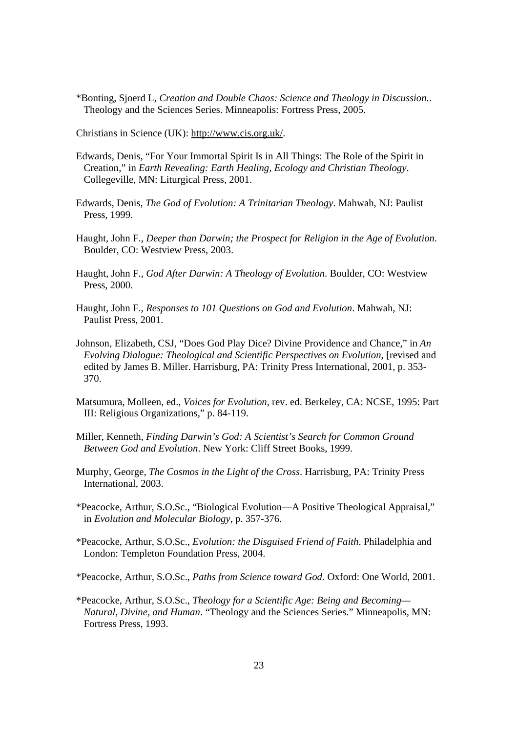\*Bonting, Sjoerd L, *Creation and Double Chaos: Science and Theology in Discussion.*. Theology and the Sciences Series. Minneapolis: Fortress Press, 2005.

Christians in Science (UK): http://www.cis.org.uk/.

- Edwards, Denis, "For Your Immortal Spirit Is in All Things: The Role of the Spirit in Creation," in *Earth Revealing: Earth Healing, Ecology and Christian Theology*. Collegeville, MN: Liturgical Press, 2001.
- Edwards, Denis, *The God of Evolution: A Trinitarian Theology*. Mahwah, NJ: Paulist Press, 1999.
- Haught, John F., *Deeper than Darwin; the Prospect for Religion in the Age of Evolution.*  Boulder, CO: Westview Press, 2003.
- Haught, John F., *God After Darwin: A Theology of Evolution*. Boulder, CO: Westview Press, 2000.
- Haught, John F., *Responses to 101 Questions on God and Evolution*. Mahwah, NJ: Paulist Press, 2001.
- Johnson, Elizabeth, CSJ, "Does God Play Dice? Divine Providence and Chance," in *An Evolving Dialogue: Theological and Scientific Perspectives on Evolution*, [revised and edited by James B. Miller. Harrisburg, PA: Trinity Press International, 2001, p. 353- 370.
- Matsumura, Molleen, ed., *Voices for Evolution*, rev. ed. Berkeley, CA: NCSE, 1995: Part III: Religious Organizations," p. 84-119.
- Miller, Kenneth, *Finding Darwin's God: A Scientist's Search for Common Ground Between God and Evolution*. New York: Cliff Street Books, 1999.
- Murphy, George, *The Cosmos in the Light of the Cross*. Harrisburg, PA: Trinity Press International, 2003.
- \*Peacocke, Arthur, S.O.Sc., "Biological Evolution—A Positive Theological Appraisal," in *Evolution and Molecular Biology*, p. 357-376.
- \*Peacocke, Arthur, S.O.Sc., *Evolution: the Disguised Friend of Faith*. Philadelphia and London: Templeton Foundation Press, 2004.
- \*Peacocke, Arthur, S.O.Sc., *Paths from Science toward God.* Oxford: One World, 2001.
- \*Peacocke, Arthur, S.O.Sc., *Theology for a Scientific Age: Being and Becoming— Natural, Divine, and Human*. "Theology and the Sciences Series." Minneapolis, MN: Fortress Press, 1993.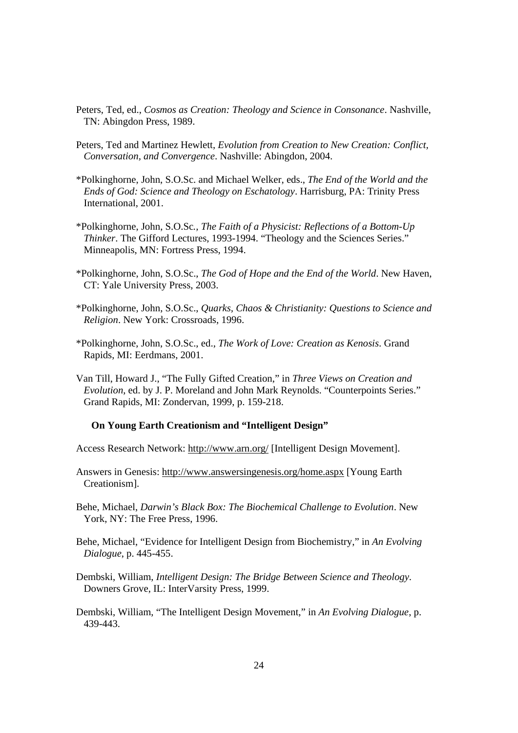- Peters, Ted, ed., *Cosmos as Creation: Theology and Science in Consonance*. Nashville, TN: Abingdon Press, 1989.
- Peters, Ted and Martinez Hewlett, *Evolution from Creation to New Creation: Conflict, Conversation, and Convergence*. Nashville: Abingdon, 2004.
- \*Polkinghorne, John, S.O.Sc. and Michael Welker, eds., *The End of the World and the Ends of God: Science and Theology on Eschatology*. Harrisburg, PA: Trinity Press International, 2001.
- \*Polkinghorne, John, S.O.Sc*., The Faith of a Physicist: Reflections of a Bottom-Up Thinker*. The Gifford Lectures, 1993-1994. "Theology and the Sciences Series." Minneapolis, MN: Fortress Press, 1994.
- \*Polkinghorne, John, S.O.Sc., *The God of Hope and the End of the World*. New Haven, CT: Yale University Press, 2003.
- \*Polkinghorne, John, S.O.Sc., *Quarks, Chaos & Christianity: Questions to Science and Religion*. New York: Crossroads, 1996.
- \*Polkinghorne, John, S.O.Sc., ed., *The Work of Love: Creation as Kenosis*. Grand Rapids, MI: Eerdmans, 2001.
- Van Till, Howard J., "The Fully Gifted Creation," in *Three Views on Creation and Evolution*, ed. by J. P. Moreland and John Mark Reynolds. "Counterpoints Series." Grand Rapids, MI: Zondervan, 1999, p. 159-218.

#### **On Young Earth Creationism and "Intelligent Design"**

Access Research Network: http://www.arn.org/ [Intelligent Design Movement].

Answers in Genesis: http://www.answersingenesis.org/home.aspx [Young Earth Creationism].

Behe, Michael, *Darwin's Black Box: The Biochemical Challenge to Evolution*. New York, NY: The Free Press, 1996.

Behe, Michael, "Evidence for Intelligent Design from Biochemistry," in *An Evolving Dialogue*, p. 445-455.

- Dembski, William, *Intelligent Design: The Bridge Between Science and Theology*. Downers Grove, IL: InterVarsity Press, 1999.
- Dembski, William, "The Intelligent Design Movement," in *An Evolving Dialogue*, p. 439-443.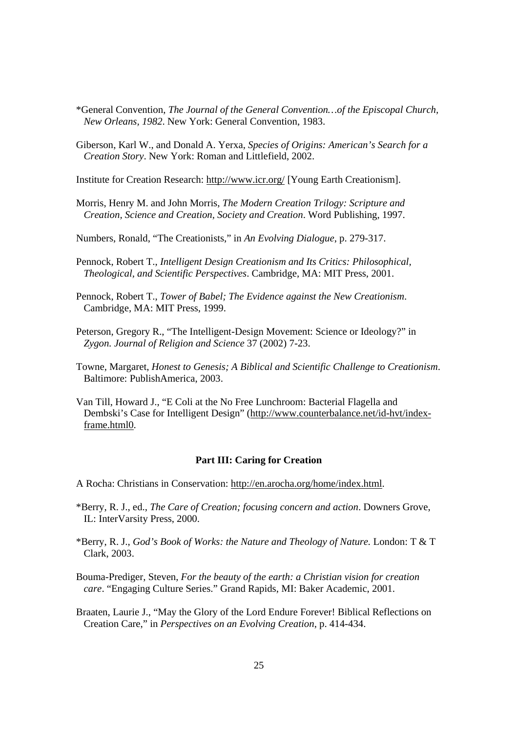- \*General Convention, *The Journal of the General Convention…of the Episcopal Church, New Orleans, 1982*. New York: General Convention, 1983.
- Giberson, Karl W., and Donald A. Yerxa, *Species of Origins: American's Search for a Creation Story*. New York: Roman and Littlefield, 2002.

Institute for Creation Research: http://www.icr.org/ [Young Earth Creationism].

- Morris, Henry M. and John Morris, *The Modern Creation Trilogy: Scripture and Creation, Science and Creation, Society and Creation*. Word Publishing, 1997.
- Numbers, Ronald, "The Creationists," in *An Evolving Dialogue*, p. 279-317.
- Pennock, Robert T., *Intelligent Design Creationism and Its Critics: Philosophical, Theological, and Scientific Perspectives*. Cambridge, MA: MIT Press, 2001.
- Pennock, Robert T., *Tower of Babel; The Evidence against the New Creationism*. Cambridge, MA: MIT Press, 1999.
- Peterson, Gregory R., "The Intelligent-Design Movement: Science or Ideology?" in *Zygon. Journal of Religion and Science* 37 (2002) 7-23.
- Towne, Margaret, *Honest to Genesis; A Biblical and Scientific Challenge to Creationism*. Baltimore: PublishAmerica, 2003.
- Van Till, Howard J., "E Coli at the No Free Lunchroom: Bacterial Flagella and Dembski's Case for Intelligent Design" (http://www.counterbalance.net/id-hvt/indexframe.html0.

#### **Part III: Caring for Creation**

- A Rocha: Christians in Conservation: http://en.arocha.org/home/index.html.
- \*Berry, R. J., ed., *The Care of Creation; focusing concern and action*. Downers Grove, IL: InterVarsity Press, 2000.
- \*Berry, R. J., *God's Book of Works: the Nature and Theology of Nature.* London: T & T Clark, 2003.
- Bouma-Prediger, Steven, *For the beauty of the earth: a Christian vision for creation care*. "Engaging Culture Series." Grand Rapids, MI: Baker Academic, 2001.
- Braaten, Laurie J., "May the Glory of the Lord Endure Forever! Biblical Reflections on Creation Care," in *Perspectives on an Evolving Creation*, p. 414-434.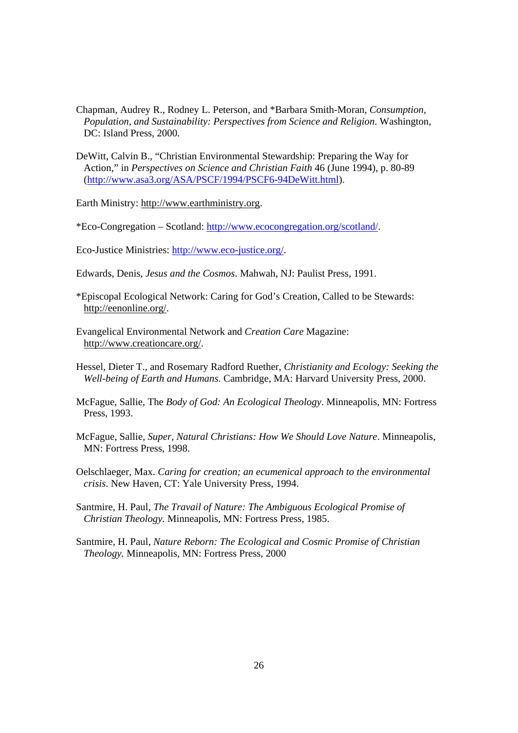- Chapman, Audrey R., Rodney L. Peterson, and \*Barbara Smith-Moran, *Consumption, Population, and Sustainability: Perspectives from Science and Religion*. Washington, DC: Island Press, 2000.
- DeWitt, Calvin B., "Christian Environmental Stewardship: Preparing the Way for Action," in *Perspectives on Science and Christian Faith* 46 (June 1994), p. 80-89 (http://www.asa3.org/ASA/PSCF/1994/PSCF6-94DeWitt.html).

Earth Ministry: http://www.earthministry.org.

\*Eco-Congregation – Scotland: http://www.ecocongregation.org/scotland/.

Eco-Justice Ministries: http://www.eco-justice.org/.

- Edwards, Denis, *Jesus and the Cosmos*. Mahwah, NJ: Paulist Press, 1991.
- \*Episcopal Ecological Network: Caring for God's Creation, Called to be Stewards: http://eenonline.org/.
- Evangelical Environmental Network and *Creation Care* Magazine: http://www.creationcare.org/.
- Hessel, Dieter T., and Rosemary Radford Ruether, *Christianity and Ecology: Seeking the Well-being of Earth and Humans.* Cambridge, MA: Harvard University Press, 2000.
- McFague, Sallie, The *Body of God: An Ecological Theology*. Minneapolis, MN: Fortress Press, 1993.
- McFague, Sallie, *Super, Natural Christians: How We Should Love Nature*. Minneapolis, MN: Fortress Press, 1998.
- Oelschlaeger, Max. *Caring for creation; an ecumenical approach to the environmental crisis*. New Haven, CT: Yale University Press, 1994.

Santmire, H. Paul, *The Travail of Nature: The Ambiguous Ecological Promise of Christian Theology.* Minneapolis, MN: Fortress Press, 1985.

Santmire, H. Paul, *Nature Reborn: The Ecological and Cosmic Promise of Christian Theology.* Minneapolis, MN: Fortress Press, 2000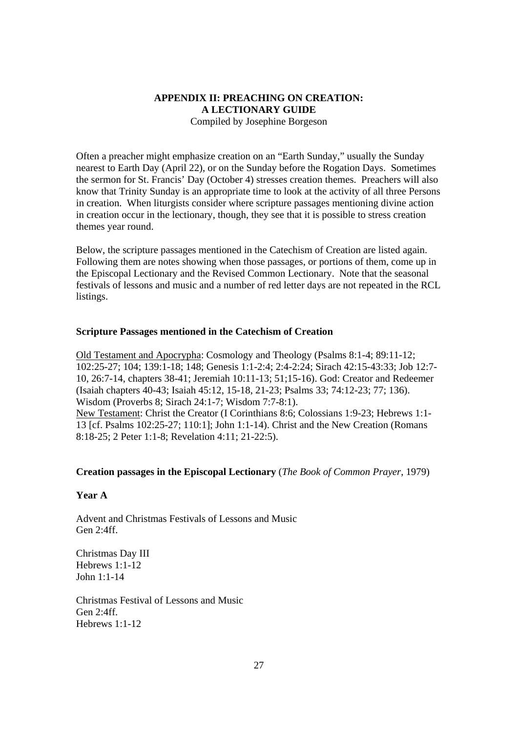## **APPENDIX II: PREACHING ON CREATION: A LECTIONARY GUIDE** Compiled by Josephine Borgeson

Often a preacher might emphasize creation on an "Earth Sunday," usually the Sunday nearest to Earth Day (April 22), or on the Sunday before the Rogation Days. Sometimes the sermon for St. Francis' Day (October 4) stresses creation themes. Preachers will also know that Trinity Sunday is an appropriate time to look at the activity of all three Persons in creation. When liturgists consider where scripture passages mentioning divine action in creation occur in the lectionary, though, they see that it is possible to stress creation themes year round.

Below, the scripture passages mentioned in the Catechism of Creation are listed again. Following them are notes showing when those passages, or portions of them, come up in the Episcopal Lectionary and the Revised Common Lectionary. Note that the seasonal festivals of lessons and music and a number of red letter days are not repeated in the RCL listings.

## **Scripture Passages mentioned in the Catechism of Creation**

Old Testament and Apocrypha: Cosmology and Theology (Psalms 8:1-4; 89:11-12; 102:25-27; 104; 139:1-18; 148; Genesis 1:1-2:4; 2:4-2:24; Sirach 42:15-43:33; Job 12:7- 10, 26:7-14, chapters 38-41; Jeremiah 10:11-13; 51;15-16). God: Creator and Redeemer (Isaiah chapters 40-43; Isaiah 45:12, 15-18, 21-23; Psalms 33; 74:12-23; 77; 136). Wisdom (Proverbs 8; Sirach 24:1-7; Wisdom 7:7-8:1). New Testament: Christ the Creator (I Corinthians 8:6; Colossians 1:9-23; Hebrews 1:1- 13 [cf. Psalms 102:25-27; 110:1]; John 1:1-14). Christ and the New Creation (Romans 8:18-25; 2 Peter 1:1-8; Revelation 4:11; 21-22:5).

#### **Creation passages in the Episcopal Lectionary** (*The Book of Common Prayer*, 1979)

#### **Year A**

Advent and Christmas Festivals of Lessons and Music Gen 2:4ff.

Christmas Day III Hebrews 1:1-12 John 1:1-14

Christmas Festival of Lessons and Music Gen 2:4ff. Hebrews 1:1-12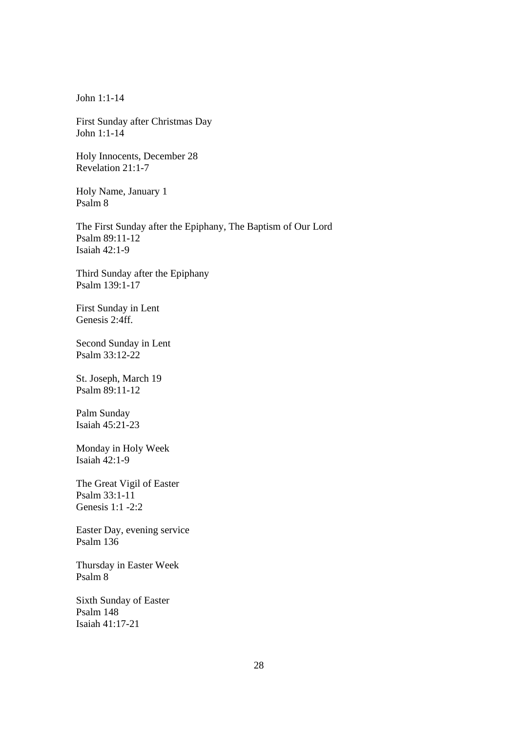John 1:1-14

First Sunday after Christmas Day John 1:1-14

Holy Innocents, December 28 Revelation 21:1-7

Holy Name, January 1 Psalm 8

The First Sunday after the Epiphany, The Baptism of Our Lord Psalm 89:11-12 Isaiah 42:1-9

Third Sunday after the Epiphany Psalm 139:1-17

First Sunday in Lent Genesis 2:4ff.

Second Sunday in Lent Psalm 33:12-22

St. Joseph, March 19 Psalm 89:11-12

Palm Sunday Isaiah 45:21-23

Monday in Holy Week Isaiah 42:1-9

The Great Vigil of Easter Psalm 33:1-11 Genesis 1:1 -2:2

Easter Day, evening service Psalm 136

Thursday in Easter Week Psalm 8

Sixth Sunday of Easter Psalm 148 Isaiah 41:17-21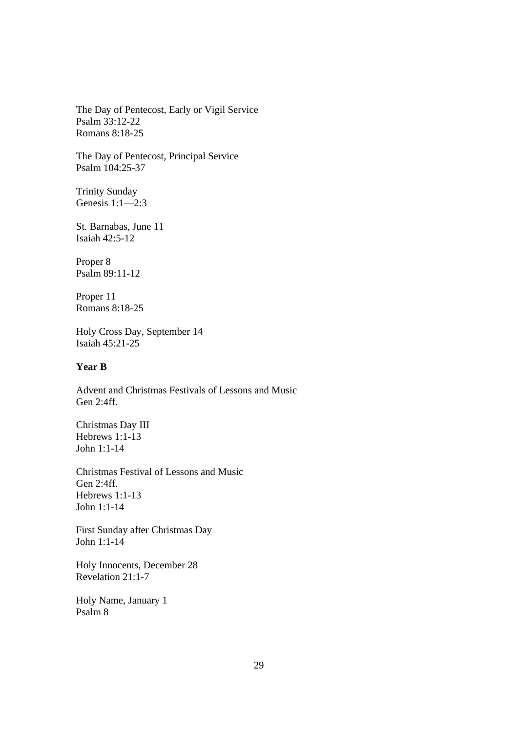The Day of Pentecost, Early or Vigil Service Psalm 33:12-22 Romans 8:18-25

The Day of Pentecost, Principal Service Psalm 104:25-37

Trinity Sunday Genesis 1:1—2:3

St. Barnabas, June 11 Isaiah 42:5-12

Proper 8 Psalm 89:11-12

Proper 11 Romans 8:18-25

Holy Cross Day, September 14 Isaiah 45:21-25

## **Year B**

Advent and Christmas Festivals of Lessons and Music Gen 2:4ff.

Christmas Day III Hebrews 1:1-13 John 1:1-14

Christmas Festival of Lessons and Music Gen 2:4ff. Hebrews 1:1-13 John 1:1-14

First Sunday after Christmas Day John 1:1-14

Holy Innocents, December 28 Revelation 21:1-7

Holy Name, January 1 Psalm 8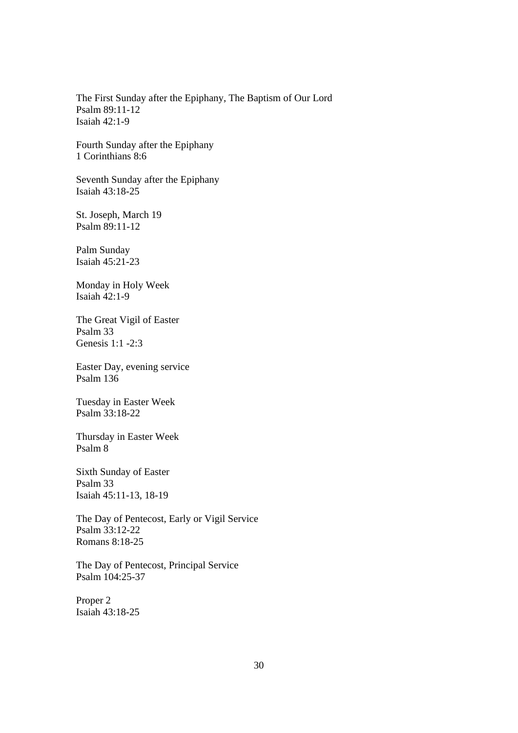The First Sunday after the Epiphany, The Baptism of Our Lord Psalm 89:11-12 Isaiah 42:1-9

Fourth Sunday after the Epiphany 1 Corinthians 8:6

Seventh Sunday after the Epiphany Isaiah 43:18-25

St. Joseph, March 19 Psalm 89:11-12

Palm Sunday Isaiah 45:21-23

Monday in Holy Week Isaiah 42:1-9

The Great Vigil of Easter Psalm 33 Genesis 1:1 -2:3

Easter Day, evening service Psalm 136

Tuesday in Easter Week Psalm 33:18-22

Thursday in Easter Week Psalm 8

Sixth Sunday of Easter Psalm 33 Isaiah 45:11-13, 18-19

The Day of Pentecost, Early or Vigil Service Psalm 33:12-22 Romans 8:18-25

The Day of Pentecost, Principal Service Psalm 104:25-37

Proper 2 Isaiah 43:18-25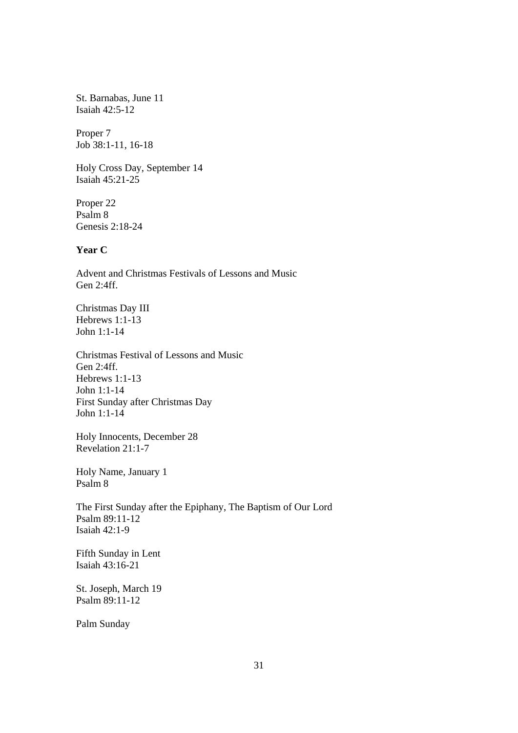St. Barnabas, June 11 Isaiah 42:5-12

Proper 7 Job 38:1-11, 16-18

Holy Cross Day, September 14 Isaiah 45:21-25

Proper 22 Psalm 8 Genesis 2:18-24

## **Year C**

Advent and Christmas Festivals of Lessons and Music Gen 2:4ff.

Christmas Day III Hebrews 1:1-13 John 1:1-14

Christmas Festival of Lessons and Music Gen 2:4ff. Hebrews 1:1-13 John 1:1-14 First Sunday after Christmas Day John 1:1-14

Holy Innocents, December 28 Revelation 21:1-7

Holy Name, January 1 Psalm 8

The First Sunday after the Epiphany, The Baptism of Our Lord Psalm 89:11-12 Isaiah 42:1-9

Fifth Sunday in Lent Isaiah 43:16-21

St. Joseph, March 19 Psalm 89:11-12

Palm Sunday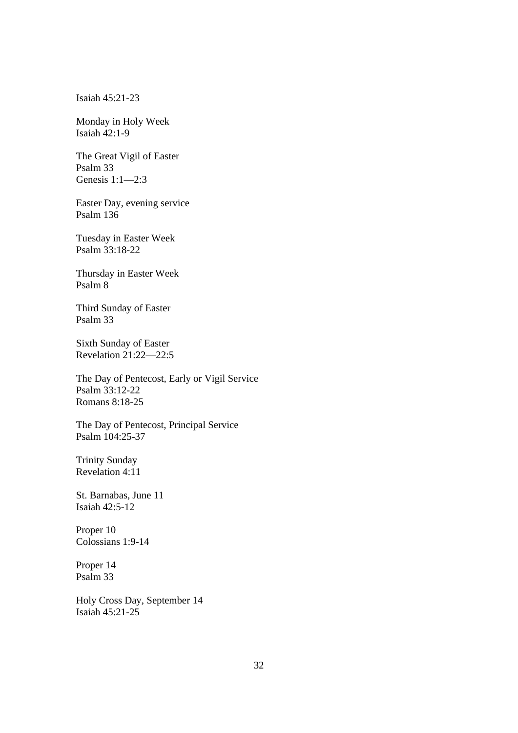Isaiah 45:21-23

Monday in Holy Week Isaiah 42:1-9

The Great Vigil of Easter Psalm 33 Genesis 1:1—2:3

Easter Day, evening service Psalm 136

Tuesday in Easter Week Psalm 33:18-22

Thursday in Easter Week Psalm 8

Third Sunday of Easter Psalm 33

Sixth Sunday of Easter Revelation 21:22—22:5

The Day of Pentecost, Early or Vigil Service Psalm 33:12-22 Romans 8:18-25

The Day of Pentecost, Principal Service Psalm 104:25-37

Trinity Sunday Revelation 4:11

St. Barnabas, June 11 Isaiah 42:5-12

Proper 10 Colossians 1:9-14

Proper 14 Psalm 33

Holy Cross Day, September 14 Isaiah 45:21-25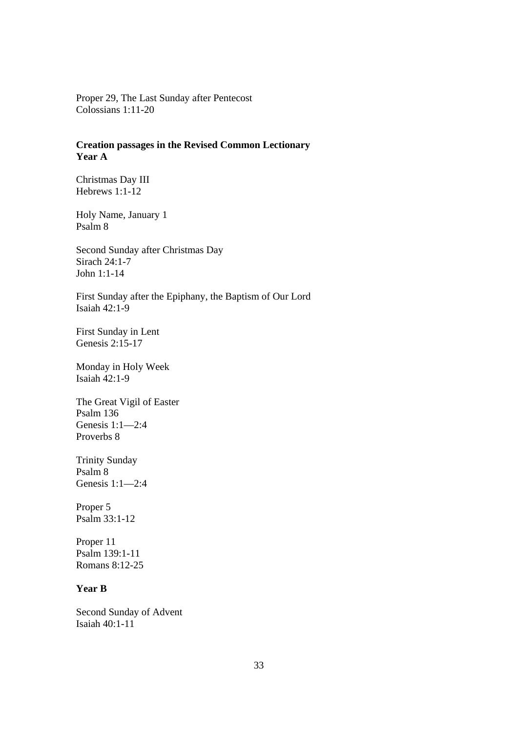Proper 29, The Last Sunday after Pentecost Colossians 1:11-20

## **Creation passages in the Revised Common Lectionary Year A**

Christmas Day III Hebrews 1:1-12

Holy Name, January 1 Psalm 8

Second Sunday after Christmas Day Sirach 24:1-7 John 1:1-14

First Sunday after the Epiphany, the Baptism of Our Lord Isaiah 42:1-9

First Sunday in Lent Genesis 2:15-17

Monday in Holy Week Isaiah 42:1-9

The Great Vigil of Easter Psalm 136 Genesis 1:1—2:4 Proverbs 8

Trinity Sunday Psalm 8 Genesis 1:1—2:4

Proper 5 Psalm 33:1-12

Proper 11 Psalm 139:1-11 Romans 8:12-25

## **Year B**

Second Sunday of Advent Isaiah 40:1-11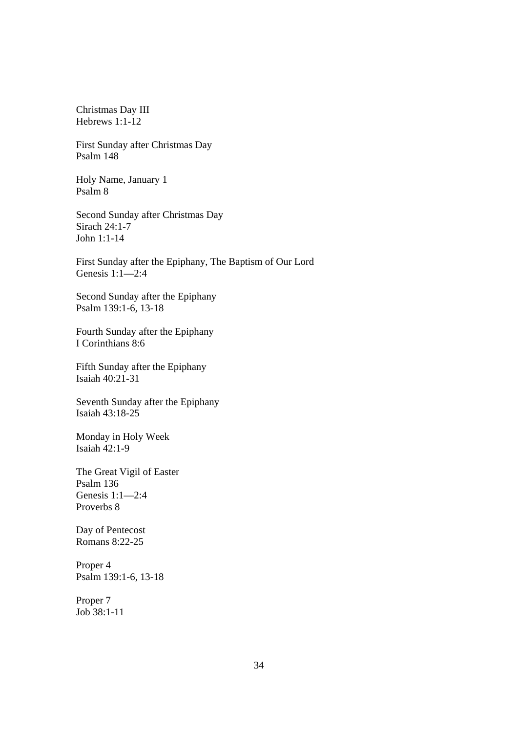Christmas Day III Hebrews 1:1-12

First Sunday after Christmas Day Psalm 148

Holy Name, January 1 Psalm 8

Second Sunday after Christmas Day Sirach 24:1-7 John 1:1-14

First Sunday after the Epiphany, The Baptism of Our Lord Genesis 1:1—2:4

Second Sunday after the Epiphany Psalm 139:1-6, 13-18

Fourth Sunday after the Epiphany I Corinthians 8:6

Fifth Sunday after the Epiphany Isaiah 40:21-31

Seventh Sunday after the Epiphany Isaiah 43:18-25

Monday in Holy Week Isaiah 42:1-9

The Great Vigil of Easter Psalm 136 Genesis 1:1—2:4 Proverbs 8

Day of Pentecost Romans 8:22-25

Proper 4 Psalm 139:1-6, 13-18

Proper 7 Job 38:1-11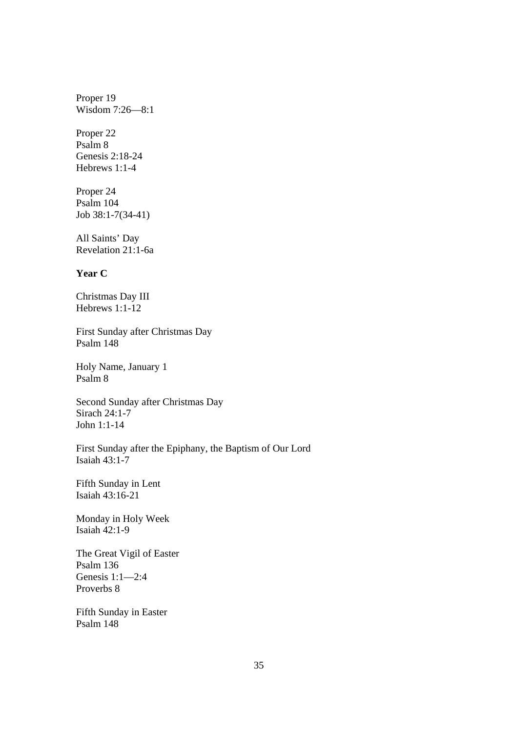Proper 19 Wisdom 7:26—8:1

Proper 22 Psalm 8 Genesis 2:18-24 Hebrews 1:1-4

Proper 24 Psalm 104 Job 38:1-7(34-41)

All Saints' Day Revelation 21:1-6a

## **Year C**

Christmas Day III Hebrews 1:1-12

First Sunday after Christmas Day Psalm 148

Holy Name, January 1 Psalm 8

Second Sunday after Christmas Day Sirach 24:1-7 John 1:1-14

First Sunday after the Epiphany, the Baptism of Our Lord Isaiah 43:1-7

Fifth Sunday in Lent Isaiah 43:16-21

Monday in Holy Week Isaiah  $42:1-9$ 

The Great Vigil of Easter Psalm 136 Genesis 1:1—2:4 Proverbs 8

Fifth Sunday in Easter Psalm 148